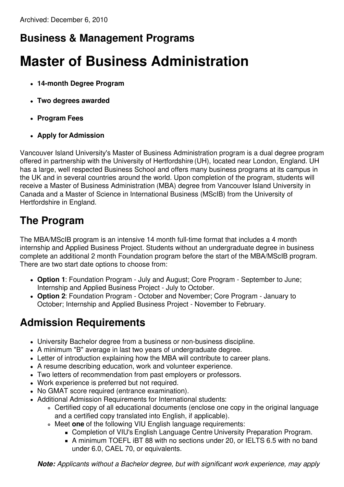### **Business & Management Programs**

# **Master of Business Administration**

- **14-month Degree Program**
- **Two degrees awarded**
- **Program Fees**
- **Apply for Admission**

Vancouver Island University's Master of Business Administration program is a dual degree program offered in partnership with the University of Hertfordshire (UH), located near London, England. UH has a large, well respected Business School and offers many business programs at its campus in the UK and in several countries around the world. Upon completion of the program, students will receive a Master of Business Administration (MBA) degree from Vancouver Island University in Canada and a Master of Science in International Business (MScIB) from the University of Hertfordshire in England.

## **The Program**

The MBA/MScIB program is an intensive 14 month full-time format that includes a 4 month internship and Applied Business Project. Students without an undergraduate degree in business complete an additional 2 month Foundation program before the start of the MBA/MScIB program. There are two start date options to choose from:

- **Option 1**: Foundation Program July and August; Core Program September to June; Internship and Applied Business Project - July to October.
- **Option 2**: Foundation Program October and November; Core Program January to October; Internship and Applied Business Project - November to February.

# **Admission Requirements**

- University Bachelor degree from a business or non-business discipline.
- A minimum "B" average in last two years of undergraduate degree.
- Letter of introduction explaining how the MBA will contribute to career plans.
- A resume describing education, work and volunteer experience.
- Two letters of recommendation from past employers or professors.
- Work experience is preferred but not required.
- No GMAT score required (entrance examination).
- Additional Admission Requirements for International students:
	- Certified copy of all educational documents (enclose one copy in the original language and a certified copy translated into English, if applicable).
	- Meet **one** of the following VIU English language requirements:
		- Completion of VIU's English Language Centre University Preparation Program.
		- A minimum TOEFL iBT 88 with no sections under 20, or IELTS 6.5 with no band under 6.0, CAEL 70, or equivalents.

*Note: Applicants without a Bachelor degree, but with significant work experience, may apply*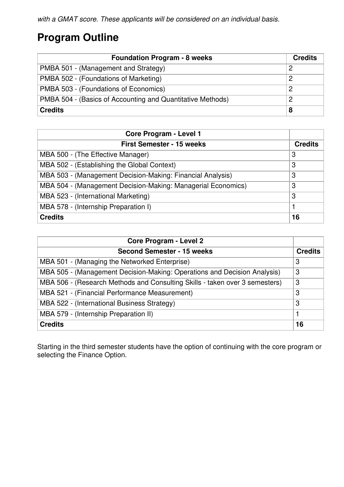#### **Program Outline**

| <b>Foundation Program - 8 weeks</b>                        |   |
|------------------------------------------------------------|---|
| PMBA 501 - (Management and Strategy)                       | 2 |
| PMBA 502 - (Foundations of Marketing)                      | 2 |
| PMBA 503 - (Foundations of Economics)                      | 2 |
| PMBA 504 - (Basics of Accounting and Quantitative Methods) | 2 |
| <b>Credits</b>                                             | 8 |

| Core Program - Level 1                                       |                |
|--------------------------------------------------------------|----------------|
| <b>First Semester - 15 weeks</b>                             | <b>Credits</b> |
| MBA 500 - (The Effective Manager)                            | 3              |
| MBA 502 - (Establishing the Global Context)                  | 3              |
| MBA 503 - (Management Decision-Making: Financial Analysis)   | 3              |
| MBA 504 - (Management Decision-Making: Managerial Economics) | 3              |
| MBA 523 - (International Marketing)                          | 3              |
| MBA 578 - (Internship Preparation I)                         |                |
| <b>Credits</b>                                               | 16             |

| <b>Core Program - Level 2</b>                                               |                |
|-----------------------------------------------------------------------------|----------------|
| <b>Second Semester - 15 weeks</b>                                           | <b>Credits</b> |
| MBA 501 - (Managing the Networked Enterprise)                               | 3              |
| MBA 505 - (Management Decision-Making: Operations and Decision Analysis)    | 3              |
| MBA 506 - (Research Methods and Consulting Skills - taken over 3 semesters) | 3              |
| MBA 521 - (Financial Performance Measurement)                               | 3              |
| MBA 522 - (International Business Strategy)                                 | 3              |
| MBA 579 - (Internship Preparation II)                                       |                |
| <b>Credits</b>                                                              | 16             |

Starting in the third semester students have the option of continuing with the core program or selecting the Finance Option.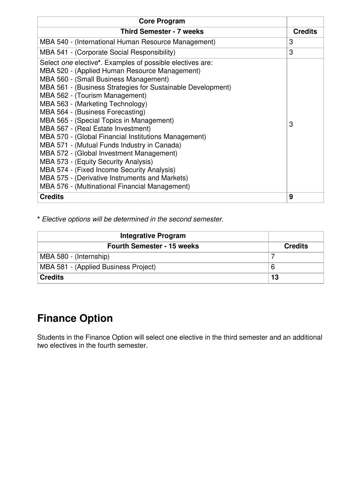| <b>Core Program</b>                                                                                                                                                                                                                                                                                                                                                                                                                                                                                                                                                                                                                                                                                                                                         |                |
|-------------------------------------------------------------------------------------------------------------------------------------------------------------------------------------------------------------------------------------------------------------------------------------------------------------------------------------------------------------------------------------------------------------------------------------------------------------------------------------------------------------------------------------------------------------------------------------------------------------------------------------------------------------------------------------------------------------------------------------------------------------|----------------|
| <b>Third Semester - 7 weeks</b>                                                                                                                                                                                                                                                                                                                                                                                                                                                                                                                                                                                                                                                                                                                             | <b>Credits</b> |
| MBA 540 - (International Human Resource Management)                                                                                                                                                                                                                                                                                                                                                                                                                                                                                                                                                                                                                                                                                                         | 3              |
| MBA 541 - (Corporate Social Responsibility)                                                                                                                                                                                                                                                                                                                                                                                                                                                                                                                                                                                                                                                                                                                 | 3              |
| Select one elective*. Examples of possible electives are:<br>MBA 520 - (Applied Human Resource Management)<br>MBA 560 - (Small Business Management)<br>MBA 561 - (Business Strategies for Sustainable Development)<br>MBA 562 - (Tourism Management)<br>MBA 563 - (Marketing Technology)<br>MBA 564 - (Business Forecasting)<br>MBA 565 - (Special Topics in Management)<br>MBA 567 - (Real Estate Investment)<br>MBA 570 - (Global Financial Institutions Management)<br>MBA 571 - (Mutual Funds Industry in Canada)<br>MBA 572 - (Global Investment Management)<br>MBA 573 - (Equity Security Analysis)<br>MBA 574 - (Fixed Income Security Analysis)<br>MBA 575 - (Derivative Instruments and Markets)<br>MBA 576 - (Multinational Financial Management) | 3              |
| <b>Credits</b>                                                                                                                                                                                                                                                                                                                                                                                                                                                                                                                                                                                                                                                                                                                                              | 9              |

**\*** *Elective options will be determined in the second semester.*

| <b>Integrative Program</b>           |                |
|--------------------------------------|----------------|
| <b>Fourth Semester - 15 weeks</b>    | <b>Credits</b> |
| MBA 580 - (Internship)               |                |
| MBA 581 - (Applied Business Project) |                |
| <b>Credits</b>                       | 13             |

#### **Finance Option**

Students in the Finance Option will select one elective in the third semester and an additional two electives in the fourth semester.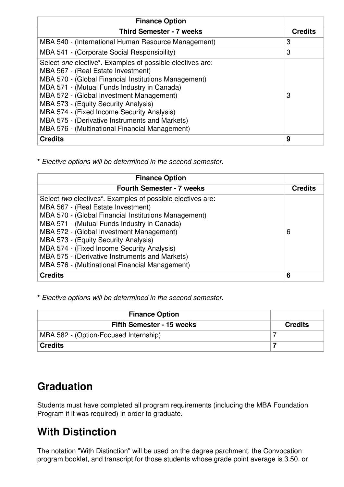| <b>Finance Option</b>                                                                                                                                                                                                                                                                                                                                                                                                                        |                |
|----------------------------------------------------------------------------------------------------------------------------------------------------------------------------------------------------------------------------------------------------------------------------------------------------------------------------------------------------------------------------------------------------------------------------------------------|----------------|
| <b>Third Semester - 7 weeks</b>                                                                                                                                                                                                                                                                                                                                                                                                              | <b>Credits</b> |
| MBA 540 - (International Human Resource Management)                                                                                                                                                                                                                                                                                                                                                                                          | 3              |
| MBA 541 - (Corporate Social Responsibility)                                                                                                                                                                                                                                                                                                                                                                                                  | 3              |
| Select one elective*. Examples of possible electives are:<br>MBA 567 - (Real Estate Investment)<br>MBA 570 - (Global Financial Institutions Management)<br>MBA 571 - (Mutual Funds Industry in Canada)<br>MBA 572 - (Global Investment Management)<br>MBA 573 - (Equity Security Analysis)<br>MBA 574 - (Fixed Income Security Analysis)<br>MBA 575 - (Derivative Instruments and Markets)<br>MBA 576 - (Multinational Financial Management) | 3              |
| <b>Credits</b>                                                                                                                                                                                                                                                                                                                                                                                                                               | 9              |

**\*** *Elective options will be determined in the second semester.*

| <b>Finance Option</b>                                      |                |
|------------------------------------------------------------|----------------|
| <b>Fourth Semester - 7 weeks</b>                           | <b>Credits</b> |
| Select two electives*. Examples of possible electives are: |                |
| MBA 567 - (Real Estate Investment)                         |                |
| MBA 570 - (Global Financial Institutions Management)       |                |
| MBA 571 - (Mutual Funds Industry in Canada)                |                |
| MBA 572 - (Global Investment Management)                   | 6              |
| MBA 573 - (Equity Security Analysis)                       |                |
| MBA 574 - (Fixed Income Security Analysis)                 |                |
| MBA 575 - (Derivative Instruments and Markets)             |                |
| MBA 576 - (Multinational Financial Management)             |                |
| <b>Credits</b>                                             | 6              |

**\*** *Elective options will be determined in the second semester.*

| <b>Finance Option</b>                 |                |
|---------------------------------------|----------------|
| <b>Fifth Semester - 15 weeks</b>      | <b>Credits</b> |
| MBA 582 - (Option-Focused Internship) |                |
| <b>Credits</b>                        |                |

#### **Graduation**

Students must have completed all program requirements (including the MBA Foundation Program if it was required) in order to graduate.

#### **With Distinction**

The notation "With Distinction" will be used on the degree parchment, the Convocation program booklet, and transcript for those students whose grade point average is 3.50, or